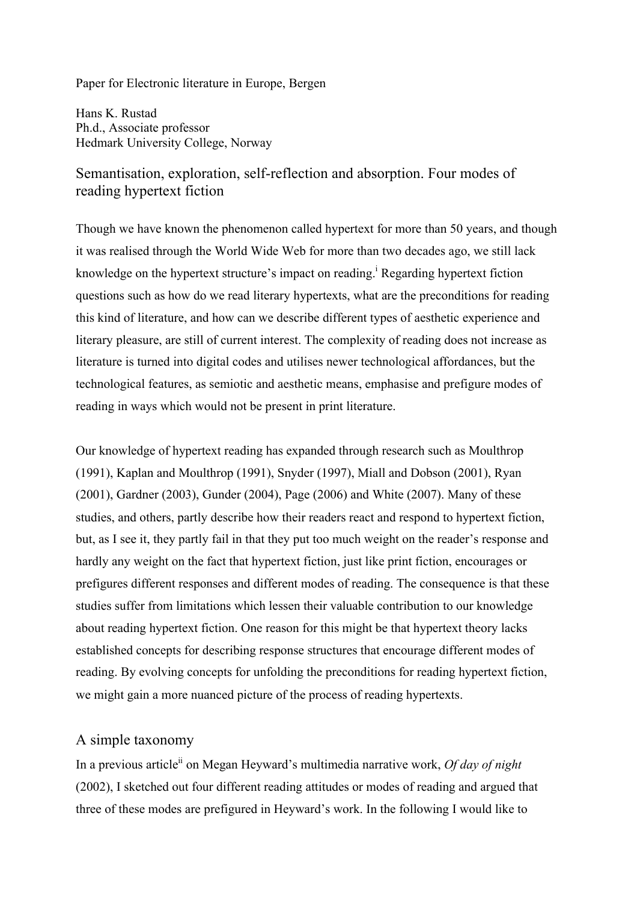Paper for Electronic literature in Europe, Bergen

Hans K. Rustad Ph.d., Associate professor Hedmark University College, Norway

# Semantisation, exploration, self-reflection and absorption. Four modes of reading hypertext fiction

Though we have known the phenomenon called hypertext for more than 50 years, and though it was realised through the World Wide Web for more than two decades ago, we still lack knowledge on the hypertext structure's impact on reading.<sup>i</sup> Regarding hypertext fiction questions such as how do we read literary hypertexts, what are the preconditions for reading this kind of literature, and how can we describe different types of aesthetic experience and literary pleasure, are still of current interest. The complexity of reading does not increase as literature is turned into digital codes and utilises newer technological affordances, but the technological features, as semiotic and aesthetic means, emphasise and prefigure modes of reading in ways which would not be present in print literature.

Our knowledge of hypertext reading has expanded through research such as Moulthrop (1991), Kaplan and Moulthrop (1991), Snyder (1997), Miall and Dobson (2001), Ryan (2001), Gardner (2003), Gunder (2004), Page (2006) and White (2007). Many of these studies, and others, partly describe how their readers react and respond to hypertext fiction, but, as I see it, they partly fail in that they put too much weight on the reader's response and hardly any weight on the fact that hypertext fiction, just like print fiction, encourages or prefigures different responses and different modes of reading. The consequence is that these studies suffer from limitations which lessen their valuable contribution to our knowledge about reading hypertext fiction. One reason for this might be that hypertext theory lacks established concepts for describing response structures that encourage different modes of reading. By evolving concepts for unfolding the preconditions for reading hypertext fiction, we might gain a more nuanced picture of the process of reading hypertexts.

## A simple taxonomy

In a previous article<sup>ii</sup> on Megan Heyward's multimedia narrative work, *Of day of night* (2002), I sketched out four different reading attitudes or modes of reading and argued that three of these modes are prefigured in Heyward's work. In the following I would like to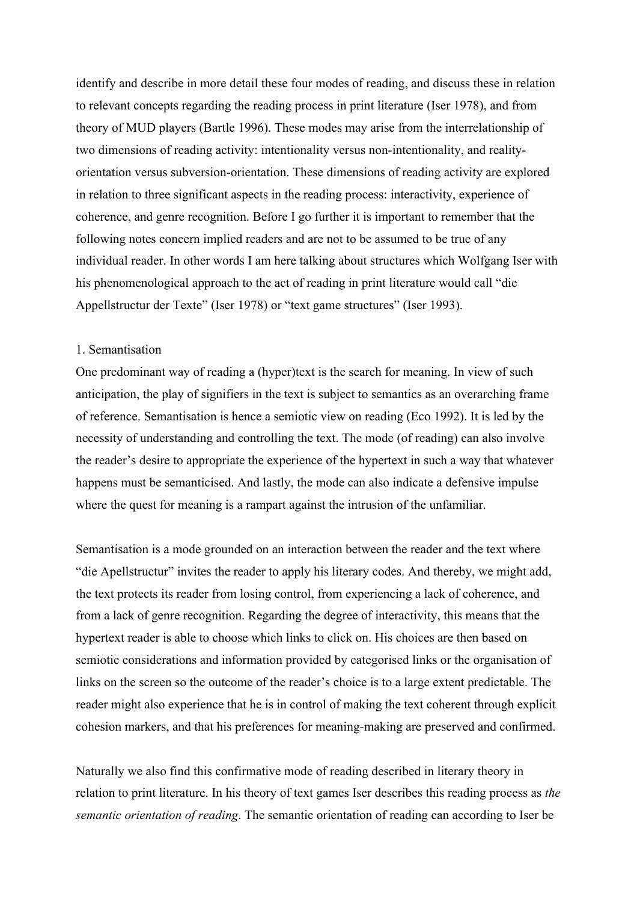identify and describe in more detail these four modes of reading, and discuss these in relation to relevant concepts regarding the reading process in print literature (Iser 1978), and from theory of MUD players (Bartle 1996). These modes may arise from the interrelationship of two dimensions of reading activity: intentionality versus non-intentionality, and realityorientation versus subversion-orientation. These dimensions of reading activity are explored in relation to three significant aspects in the reading process: interactivity, experience of coherence, and genre recognition. Before I go further it is important to remember that the following notes concern implied readers and are not to be assumed to be true of any individual reader. In other words I am here talking about structures which Wolfgang Iser with his phenomenological approach to the act of reading in print literature would call "die Appellstructur der Texte" (Iser 1978) or "text game structures" (Iser 1993).

### 1. Semantisation

One predominant way of reading a (hyper)text is the search for meaning. In view of such anticipation, the play of signifiers in the text is subject to semantics as an overarching frame of reference. Semantisation is hence a semiotic view on reading (Eco 1992). It is led by the necessity of understanding and controlling the text. The mode (of reading) can also involve the reader's desire to appropriate the experience of the hypertext in such a way that whatever happens must be semanticised. And lastly, the mode can also indicate a defensive impulse where the quest for meaning is a rampart against the intrusion of the unfamiliar.

Semantisation is a mode grounded on an interaction between the reader and the text where "die Apellstructur" invites the reader to apply his literary codes. And thereby, we might add, the text protects its reader from losing control, from experiencing a lack of coherence, and from a lack of genre recognition. Regarding the degree of interactivity, this means that the hypertext reader is able to choose which links to click on. His choices are then based on semiotic considerations and information provided by categorised links or the organisation of links on the screen so the outcome of the reader's choice is to a large extent predictable. The reader might also experience that he is in control of making the text coherent through explicit cohesion markers, and that his preferences for meaning-making are preserved and confirmed.

Naturally we also find this confirmative mode of reading described in literary theory in relation to print literature. In his theory of text games Iser describes this reading process as *the semantic orientation of reading*. The semantic orientation of reading can according to Iser be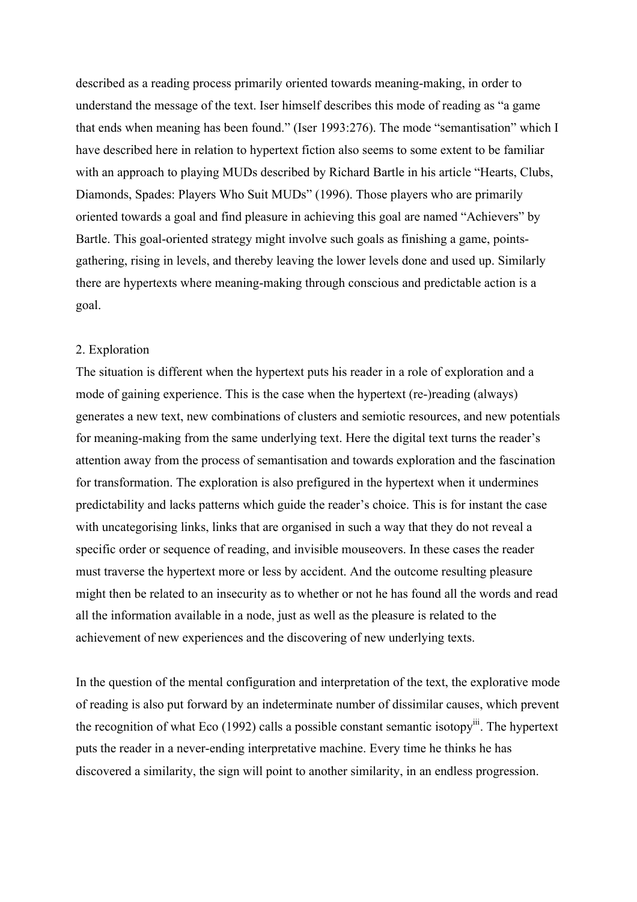described as a reading process primarily oriented towards meaning-making, in order to understand the message of the text. Iser himself describes this mode of reading as "a game that ends when meaning has been found." (Iser 1993:276). The mode "semantisation" which I have described here in relation to hypertext fiction also seems to some extent to be familiar with an approach to playing MUDs described by Richard Bartle in his article "Hearts, Clubs, Diamonds, Spades: Players Who Suit MUDs" (1996). Those players who are primarily oriented towards a goal and find pleasure in achieving this goal are named "Achievers" by Bartle. This goal-oriented strategy might involve such goals as finishing a game, pointsgathering, rising in levels, and thereby leaving the lower levels done and used up. Similarly there are hypertexts where meaning-making through conscious and predictable action is a goal.

### 2. Exploration

The situation is different when the hypertext puts his reader in a role of exploration and a mode of gaining experience. This is the case when the hypertext (re-)reading (always) generates a new text, new combinations of clusters and semiotic resources, and new potentials for meaning-making from the same underlying text. Here the digital text turns the reader's attention away from the process of semantisation and towards exploration and the fascination for transformation. The exploration is also prefigured in the hypertext when it undermines predictability and lacks patterns which guide the reader's choice. This is for instant the case with uncategorising links, links that are organised in such a way that they do not reveal a specific order or sequence of reading, and invisible mouseovers. In these cases the reader must traverse the hypertext more or less by accident. And the outcome resulting pleasure might then be related to an insecurity as to whether or not he has found all the words and read all the information available in a node, just as well as the pleasure is related to the achievement of new experiences and the discovering of new underlying texts.

In the question of the mental configuration and interpretation of the text, the explorative mode of reading is also put forward by an indeterminate number of dissimilar causes, which prevent the recognition of what Eco  $(1992)$  calls a possible constant semantic isotopy<sup>iii</sup>. The hypertext puts the reader in a never-ending interpretative machine. Every time he thinks he has discovered a similarity, the sign will point to another similarity, in an endless progression.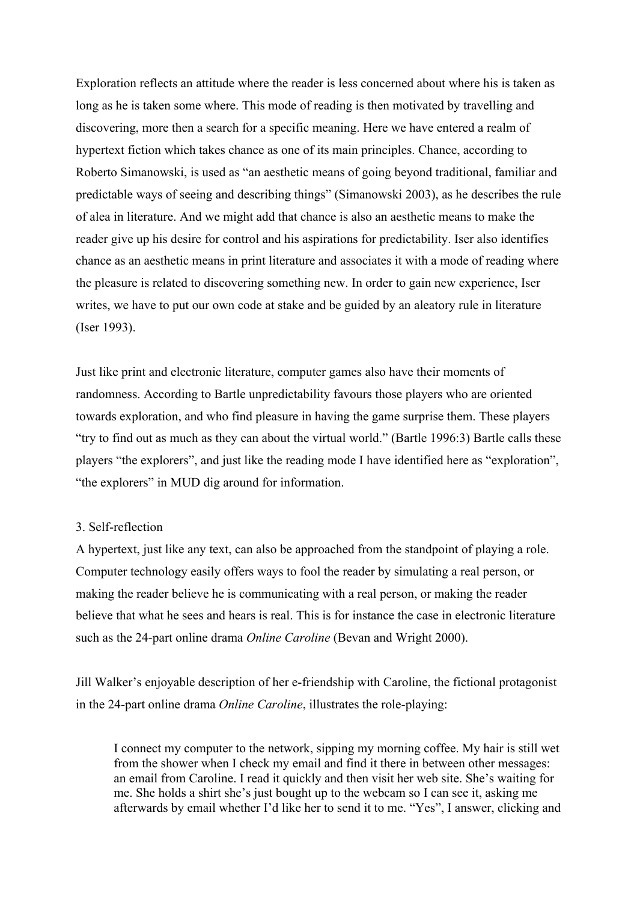Exploration reflects an attitude where the reader is less concerned about where his is taken as long as he is taken some where. This mode of reading is then motivated by travelling and discovering, more then a search for a specific meaning. Here we have entered a realm of hypertext fiction which takes chance as one of its main principles. Chance, according to Roberto Simanowski, is used as "an aesthetic means of going beyond traditional, familiar and predictable ways of seeing and describing things" (Simanowski 2003), as he describes the rule of alea in literature. And we might add that chance is also an aesthetic means to make the reader give up his desire for control and his aspirations for predictability. Iser also identifies chance as an aesthetic means in print literature and associates it with a mode of reading where the pleasure is related to discovering something new. In order to gain new experience, Iser writes, we have to put our own code at stake and be guided by an aleatory rule in literature (Iser 1993).

Just like print and electronic literature, computer games also have their moments of randomness. According to Bartle unpredictability favours those players who are oriented towards exploration, and who find pleasure in having the game surprise them. These players "try to find out as much as they can about the virtual world." (Bartle 1996:3) Bartle calls these players "the explorers", and just like the reading mode I have identified here as "exploration", "the explorers" in MUD dig around for information.

#### 3. Self-reflection

A hypertext, just like any text, can also be approached from the standpoint of playing a role. Computer technology easily offers ways to fool the reader by simulating a real person, or making the reader believe he is communicating with a real person, or making the reader believe that what he sees and hears is real. This is for instance the case in electronic literature such as the 24-part online drama *Online Caroline* (Bevan and Wright 2000).

Jill Walker's enjoyable description of her e-friendship with Caroline, the fictional protagonist in the 24-part online drama *Online Caroline*, illustrates the role-playing:

I connect my computer to the network, sipping my morning coffee. My hair is still wet from the shower when I check my email and find it there in between other messages: an email from Caroline. I read it quickly and then visit her web site. She's waiting for me. She holds a shirt she's just bought up to the webcam so I can see it, asking me afterwards by email whether I'd like her to send it to me. "Yes", I answer, clicking and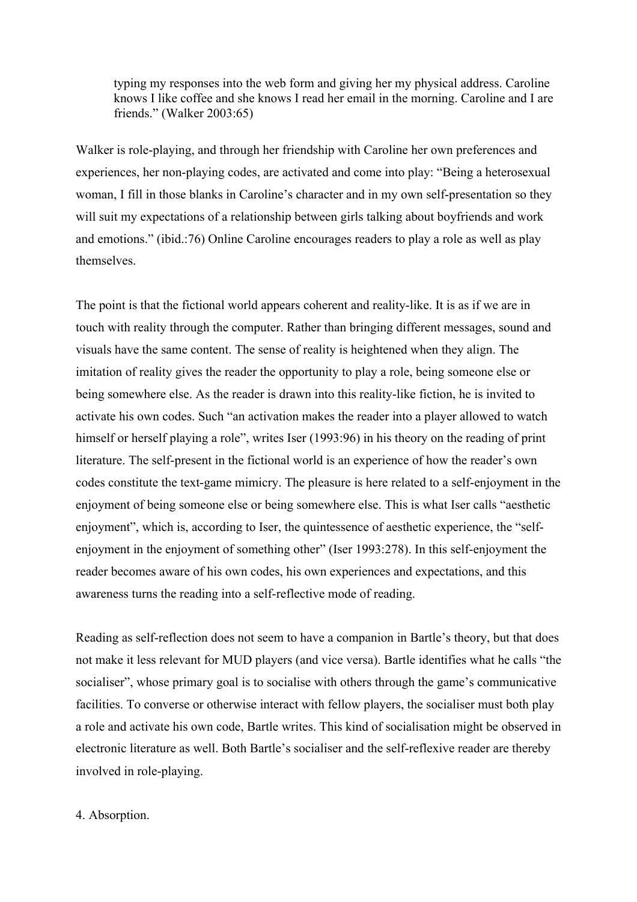typing my responses into the web form and giving her my physical address. Caroline knows I like coffee and she knows I read her email in the morning. Caroline and I are friends." (Walker 2003:65)

Walker is role-playing, and through her friendship with Caroline her own preferences and experiences, her non-playing codes, are activated and come into play: "Being a heterosexual woman, I fill in those blanks in Caroline's character and in my own self-presentation so they will suit my expectations of a relationship between girls talking about boyfriends and work and emotions." (ibid.:76) Online Caroline encourages readers to play a role as well as play themselves.

The point is that the fictional world appears coherent and reality-like. It is as if we are in touch with reality through the computer. Rather than bringing different messages, sound and visuals have the same content. The sense of reality is heightened when they align. The imitation of reality gives the reader the opportunity to play a role, being someone else or being somewhere else. As the reader is drawn into this reality-like fiction, he is invited to activate his own codes. Such "an activation makes the reader into a player allowed to watch himself or herself playing a role", writes Iser (1993:96) in his theory on the reading of print literature. The self-present in the fictional world is an experience of how the reader's own codes constitute the text-game mimicry. The pleasure is here related to a self-enjoyment in the enjoyment of being someone else or being somewhere else. This is what Iser calls "aesthetic enjoyment", which is, according to Iser, the quintessence of aesthetic experience, the "selfenjoyment in the enjoyment of something other" (Iser 1993:278). In this self-enjoyment the reader becomes aware of his own codes, his own experiences and expectations, and this awareness turns the reading into a self-reflective mode of reading.

Reading as self-reflection does not seem to have a companion in Bartle's theory, but that does not make it less relevant for MUD players (and vice versa). Bartle identifies what he calls "the socialiser", whose primary goal is to socialise with others through the game's communicative facilities. To converse or otherwise interact with fellow players, the socialiser must both play a role and activate his own code, Bartle writes. This kind of socialisation might be observed in electronic literature as well. Both Bartle's socialiser and the self-reflexive reader are thereby involved in role-playing.

#### 4. Absorption.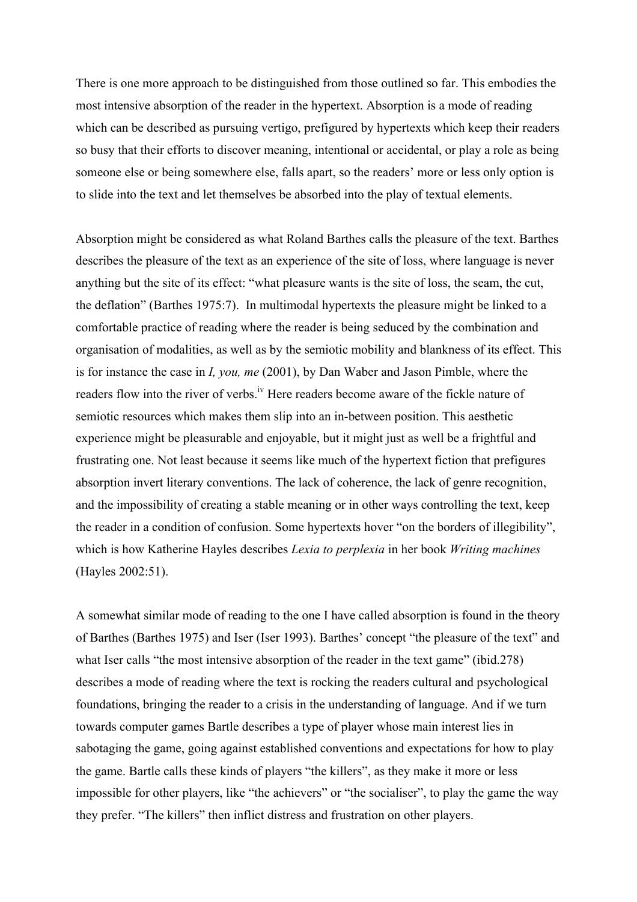There is one more approach to be distinguished from those outlined so far. This embodies the most intensive absorption of the reader in the hypertext. Absorption is a mode of reading which can be described as pursuing vertigo, prefigured by hypertexts which keep their readers so busy that their efforts to discover meaning, intentional or accidental, or play a role as being someone else or being somewhere else, falls apart, so the readers' more or less only option is to slide into the text and let themselves be absorbed into the play of textual elements.

Absorption might be considered as what Roland Barthes calls the pleasure of the text. Barthes describes the pleasure of the text as an experience of the site of loss, where language is never anything but the site of its effect: "what pleasure wants is the site of loss, the seam, the cut, the deflation" (Barthes 1975:7). In multimodal hypertexts the pleasure might be linked to a comfortable practice of reading where the reader is being seduced by the combination and organisation of modalities, as well as by the semiotic mobility and blankness of its effect. This is for instance the case in *I, you, me* (2001), by Dan Waber and Jason Pimble, where the readers flow into the river of verbs.<sup>iv</sup> Here readers become aware of the fickle nature of semiotic resources which makes them slip into an in-between position. This aesthetic experience might be pleasurable and enjoyable, but it might just as well be a frightful and frustrating one. Not least because it seems like much of the hypertext fiction that prefigures absorption invert literary conventions. The lack of coherence, the lack of genre recognition, and the impossibility of creating a stable meaning or in other ways controlling the text, keep the reader in a condition of confusion. Some hypertexts hover "on the borders of illegibility", which is how Katherine Hayles describes *Lexia to perplexia* in her book *Writing machines* (Hayles 2002:51).

A somewhat similar mode of reading to the one I have called absorption is found in the theory of Barthes (Barthes 1975) and Iser (Iser 1993). Barthes' concept "the pleasure of the text" and what Iser calls "the most intensive absorption of the reader in the text game" (ibid.278) describes a mode of reading where the text is rocking the readers cultural and psychological foundations, bringing the reader to a crisis in the understanding of language. And if we turn towards computer games Bartle describes a type of player whose main interest lies in sabotaging the game, going against established conventions and expectations for how to play the game. Bartle calls these kinds of players "the killers", as they make it more or less impossible for other players, like "the achievers" or "the socialiser", to play the game the way they prefer. "The killers" then inflict distress and frustration on other players.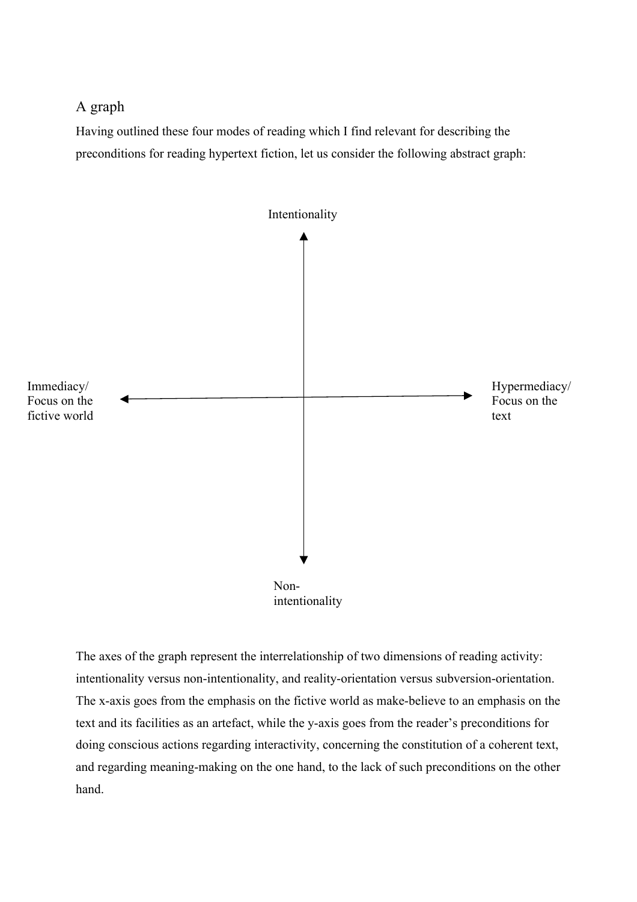# A graph

Having outlined these four modes of reading which I find relevant for describing the preconditions for reading hypertext fiction, let us consider the following abstract graph:



The axes of the graph represent the interrelationship of two dimensions of reading activity: intentionality versus non-intentionality, and reality-orientation versus subversion-orientation. The x-axis goes from the emphasis on the fictive world as make-believe to an emphasis on the text and its facilities as an artefact, while the y-axis goes from the reader's preconditions for doing conscious actions regarding interactivity, concerning the constitution of a coherent text, and regarding meaning-making on the one hand, to the lack of such preconditions on the other hand.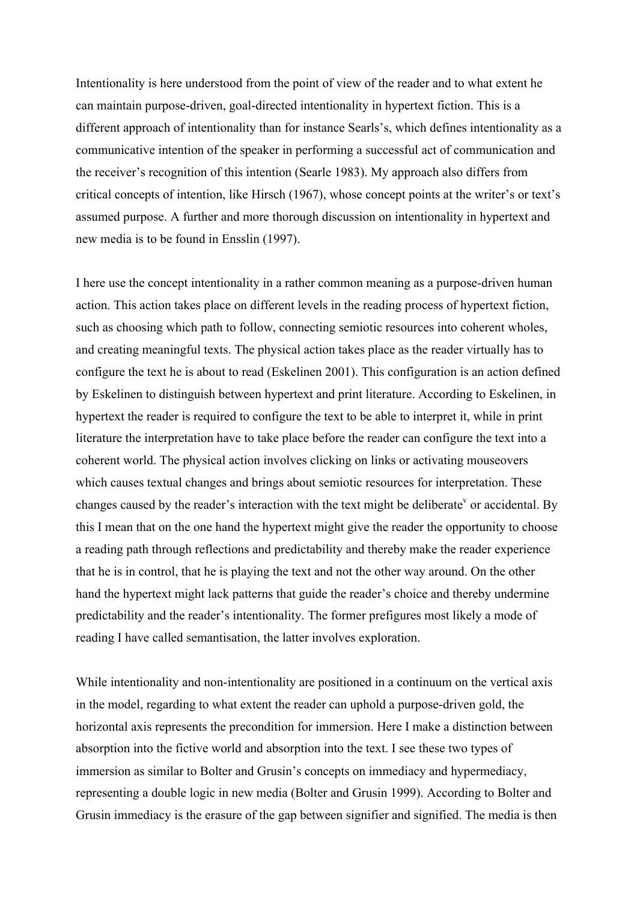Intentionality is here understood from the point of view of the reader and to what extent he can maintain purpose-driven, goal-directed intentionality in hypertext fiction. This is a different approach of intentionality than for instance Searls's, which defines intentionality as a communicative intention of the speaker in performing a successful act of communication and the receiver's recognition of this intention (Searle 1983). My approach also differs from critical concepts of intention, like Hirsch (1967), whose concept points at the writer's or text's assumed purpose. A further and more thorough discussion on intentionality in hypertext and new media is to be found in Ensslin (1997).

I here use the concept intentionality in a rather common meaning as a purpose-driven human action. This action takes place on different levels in the reading process of hypertext fiction, such as choosing which path to follow, connecting semiotic resources into coherent wholes, and creating meaningful texts. The physical action takes place as the reader virtually has to configure the text he is about to read (Eskelinen 2001). This configuration is an action defined by Eskelinen to distinguish between hypertext and print literature. According to Eskelinen, in hypertext the reader is required to configure the text to be able to interpret it, while in print literature the interpretation have to take place before the reader can configure the text into a coherent world. The physical action involves clicking on links or activating mouseovers which causes textual changes and brings about semiotic resources for interpretation. These changes caused by the reader's interaction with the text might be deliberate  $\theta$  or accidental. By this I mean that on the one hand the hypertext might give the reader the opportunity to choose a reading path through reflections and predictability and thereby make the reader experience that he is in control, that he is playing the text and not the other way around. On the other hand the hypertext might lack patterns that guide the reader's choice and thereby undermine predictability and the reader's intentionality. The former prefigures most likely a mode of reading I have called semantisation, the latter involves exploration.

While intentionality and non-intentionality are positioned in a continuum on the vertical axis in the model, regarding to what extent the reader can uphold a purpose-driven gold, the horizontal axis represents the precondition for immersion. Here I make a distinction between absorption into the fictive world and absorption into the text. I see these two types of immersion as similar to Bolter and Grusin's concepts on immediacy and hypermediacy, representing a double logic in new media (Bolter and Grusin 1999). According to Bolter and Grusin immediacy is the erasure of the gap between signifier and signified. The media is then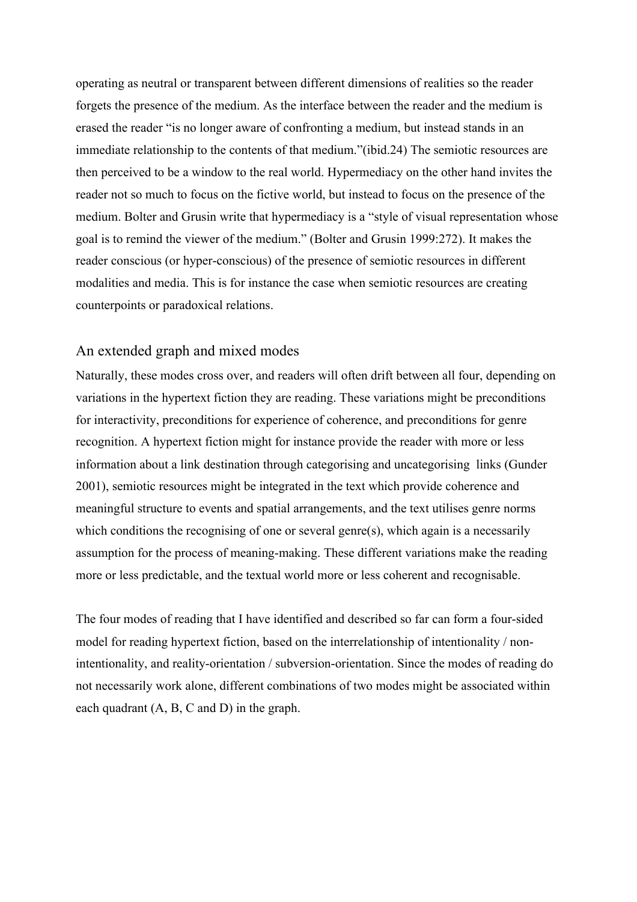operating as neutral or transparent between different dimensions of realities so the reader forgets the presence of the medium. As the interface between the reader and the medium is erased the reader "is no longer aware of confronting a medium, but instead stands in an immediate relationship to the contents of that medium."(ibid.24) The semiotic resources are then perceived to be a window to the real world. Hypermediacy on the other hand invites the reader not so much to focus on the fictive world, but instead to focus on the presence of the medium. Bolter and Grusin write that hypermediacy is a "style of visual representation whose goal is to remind the viewer of the medium." (Bolter and Grusin 1999:272). It makes the reader conscious (or hyper-conscious) of the presence of semiotic resources in different modalities and media. This is for instance the case when semiotic resources are creating counterpoints or paradoxical relations.

## An extended graph and mixed modes

Naturally, these modes cross over, and readers will often drift between all four, depending on variations in the hypertext fiction they are reading. These variations might be preconditions for interactivity, preconditions for experience of coherence, and preconditions for genre recognition. A hypertext fiction might for instance provide the reader with more or less information about a link destination through categorising and uncategorising links (Gunder 2001), semiotic resources might be integrated in the text which provide coherence and meaningful structure to events and spatial arrangements, and the text utilises genre norms which conditions the recognising of one or several genre(s), which again is a necessarily assumption for the process of meaning-making. These different variations make the reading more or less predictable, and the textual world more or less coherent and recognisable.

The four modes of reading that I have identified and described so far can form a four-sided model for reading hypertext fiction, based on the interrelationship of intentionality / nonintentionality, and reality-orientation / subversion-orientation. Since the modes of reading do not necessarily work alone, different combinations of two modes might be associated within each quadrant (A, B, C and D) in the graph.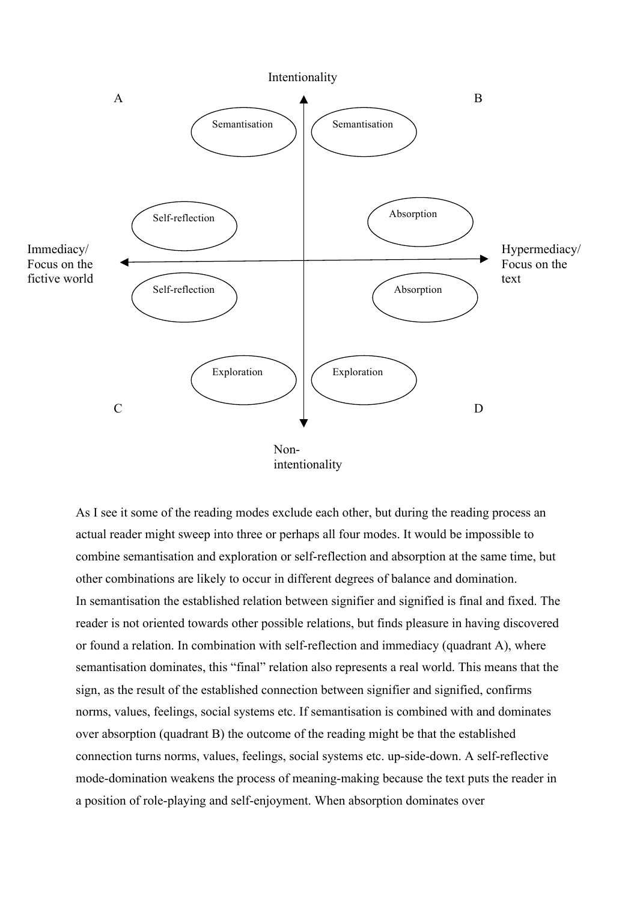

As I see it some of the reading modes exclude each other, but during the reading process an actual reader might sweep into three or perhaps all four modes. It would be impossible to combine semantisation and exploration or self-reflection and absorption at the same time, but other combinations are likely to occur in different degrees of balance and domination. In semantisation the established relation between signifier and signified is final and fixed. The reader is not oriented towards other possible relations, but finds pleasure in having discovered or found a relation. In combination with self-reflection and immediacy (quadrant A), where semantisation dominates, this "final" relation also represents a real world. This means that the sign, as the result of the established connection between signifier and signified, confirms norms, values, feelings, social systems etc. If semantisation is combined with and dominates over absorption (quadrant B) the outcome of the reading might be that the established connection turns norms, values, feelings, social systems etc. up-side-down. A self-reflective mode-domination weakens the process of meaning-making because the text puts the reader in a position of role-playing and self-enjoyment. When absorption dominates over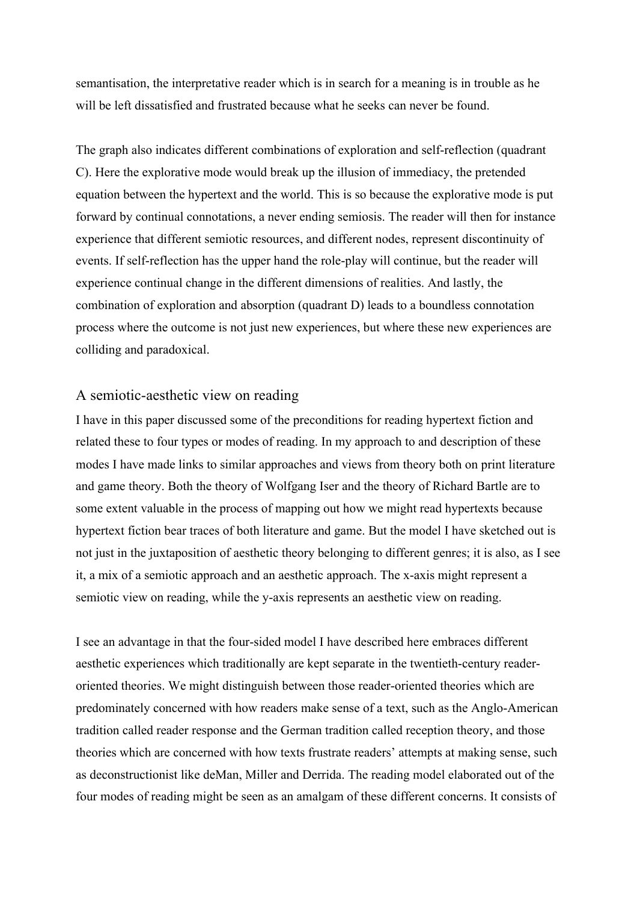semantisation, the interpretative reader which is in search for a meaning is in trouble as he will be left dissatisfied and frustrated because what he seeks can never be found.

The graph also indicates different combinations of exploration and self-reflection (quadrant C). Here the explorative mode would break up the illusion of immediacy, the pretended equation between the hypertext and the world. This is so because the explorative mode is put forward by continual connotations, a never ending semiosis. The reader will then for instance experience that different semiotic resources, and different nodes, represent discontinuity of events. If self-reflection has the upper hand the role-play will continue, but the reader will experience continual change in the different dimensions of realities. And lastly, the combination of exploration and absorption (quadrant D) leads to a boundless connotation process where the outcome is not just new experiences, but where these new experiences are colliding and paradoxical.

## A semiotic-aesthetic view on reading

I have in this paper discussed some of the preconditions for reading hypertext fiction and related these to four types or modes of reading. In my approach to and description of these modes I have made links to similar approaches and views from theory both on print literature and game theory. Both the theory of Wolfgang Iser and the theory of Richard Bartle are to some extent valuable in the process of mapping out how we might read hypertexts because hypertext fiction bear traces of both literature and game. But the model I have sketched out is not just in the juxtaposition of aesthetic theory belonging to different genres; it is also, as I see it, a mix of a semiotic approach and an aesthetic approach. The x-axis might represent a semiotic view on reading, while the y-axis represents an aesthetic view on reading.

I see an advantage in that the four-sided model I have described here embraces different aesthetic experiences which traditionally are kept separate in the twentieth-century readeroriented theories. We might distinguish between those reader-oriented theories which are predominately concerned with how readers make sense of a text, such as the Anglo-American tradition called reader response and the German tradition called reception theory, and those theories which are concerned with how texts frustrate readers' attempts at making sense, such as deconstructionist like deMan, Miller and Derrida. The reading model elaborated out of the four modes of reading might be seen as an amalgam of these different concerns. It consists of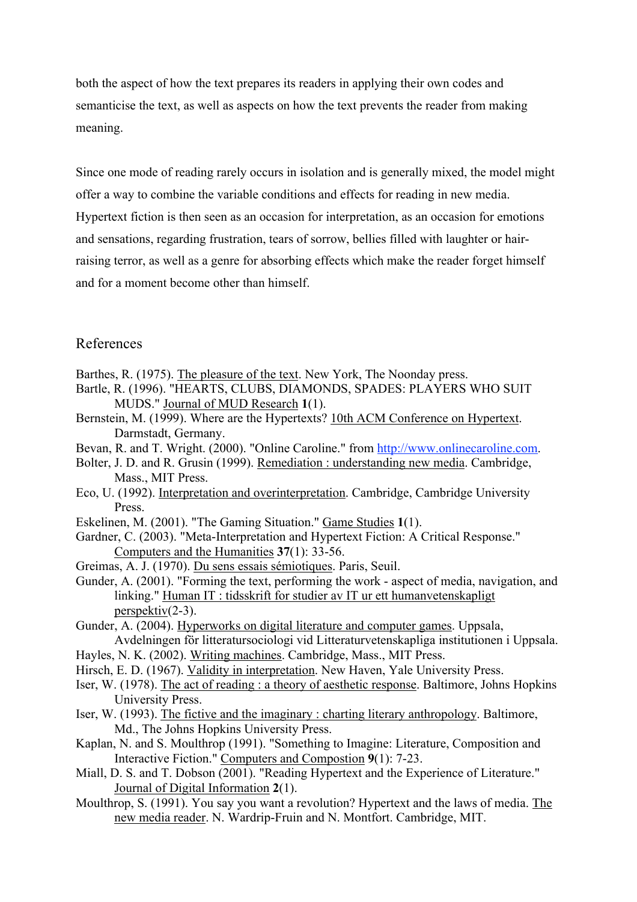both the aspect of how the text prepares its readers in applying their own codes and semanticise the text, as well as aspects on how the text prevents the reader from making meaning.

Since one mode of reading rarely occurs in isolation and is generally mixed, the model might offer a way to combine the variable conditions and effects for reading in new media. Hypertext fiction is then seen as an occasion for interpretation, as an occasion for emotions and sensations, regarding frustration, tears of sorrow, bellies filled with laughter or hairraising terror, as well as a genre for absorbing effects which make the reader forget himself and for a moment become other than himself.

## References

- Barthes, R. (1975). The pleasure of the text. New York, The Noonday press.
- Bartle, R. (1996). "HEARTS, CLUBS, DIAMONDS, SPADES: PLAYERS WHO SUIT MUDS." Journal of MUD Research **1**(1).
- Bernstein, M. (1999). Where are the Hypertexts? 10th ACM Conference on Hypertext. Darmstadt, Germany.
- Bevan, R. and T. Wright. (2000). "Online Caroline." from http://www.onlinecaroline.com.
- Bolter, J. D. and R. Grusin (1999). Remediation : understanding new media. Cambridge, Mass., MIT Press.
- Eco, U. (1992). Interpretation and overinterpretation. Cambridge, Cambridge University Press.
- Eskelinen, M. (2001). "The Gaming Situation." Game Studies **1**(1).
- Gardner, C. (2003). "Meta-Interpretation and Hypertext Fiction: A Critical Response." Computers and the Humanities **37**(1): 33-56.
- Greimas, A. J. (1970). Du sens essais sémiotiques. Paris, Seuil.
- Gunder, A. (2001). "Forming the text, performing the work aspect of media, navigation, and linking." Human IT : tidsskrift for studier av IT ur ett humanvetenskapligt perspektiv(2-3).
- Gunder, A. (2004). Hyperworks on digital literature and computer games. Uppsala, Avdelningen för litteratursociologi vid Litteraturvetenskapliga institutionen i Uppsala.
- Hayles, N. K. (2002). Writing machines. Cambridge, Mass., MIT Press.
- Hirsch, E. D. (1967). Validity in interpretation. New Haven, Yale University Press.
- Iser, W. (1978). The act of reading : a theory of aesthetic response. Baltimore, Johns Hopkins University Press.
- Iser, W. (1993). The fictive and the imaginary : charting literary anthropology. Baltimore, Md., The Johns Hopkins University Press.
- Kaplan, N. and S. Moulthrop (1991). "Something to Imagine: Literature, Composition and Interactive Fiction." Computers and Compostion **9**(1): 7-23.
- Miall, D. S. and T. Dobson (2001). "Reading Hypertext and the Experience of Literature." Journal of Digital Information **2**(1).
- Moulthrop, S. (1991). You say you want a revolution? Hypertext and the laws of media. The new media reader. N. Wardrip-Fruin and N. Montfort. Cambridge, MIT.